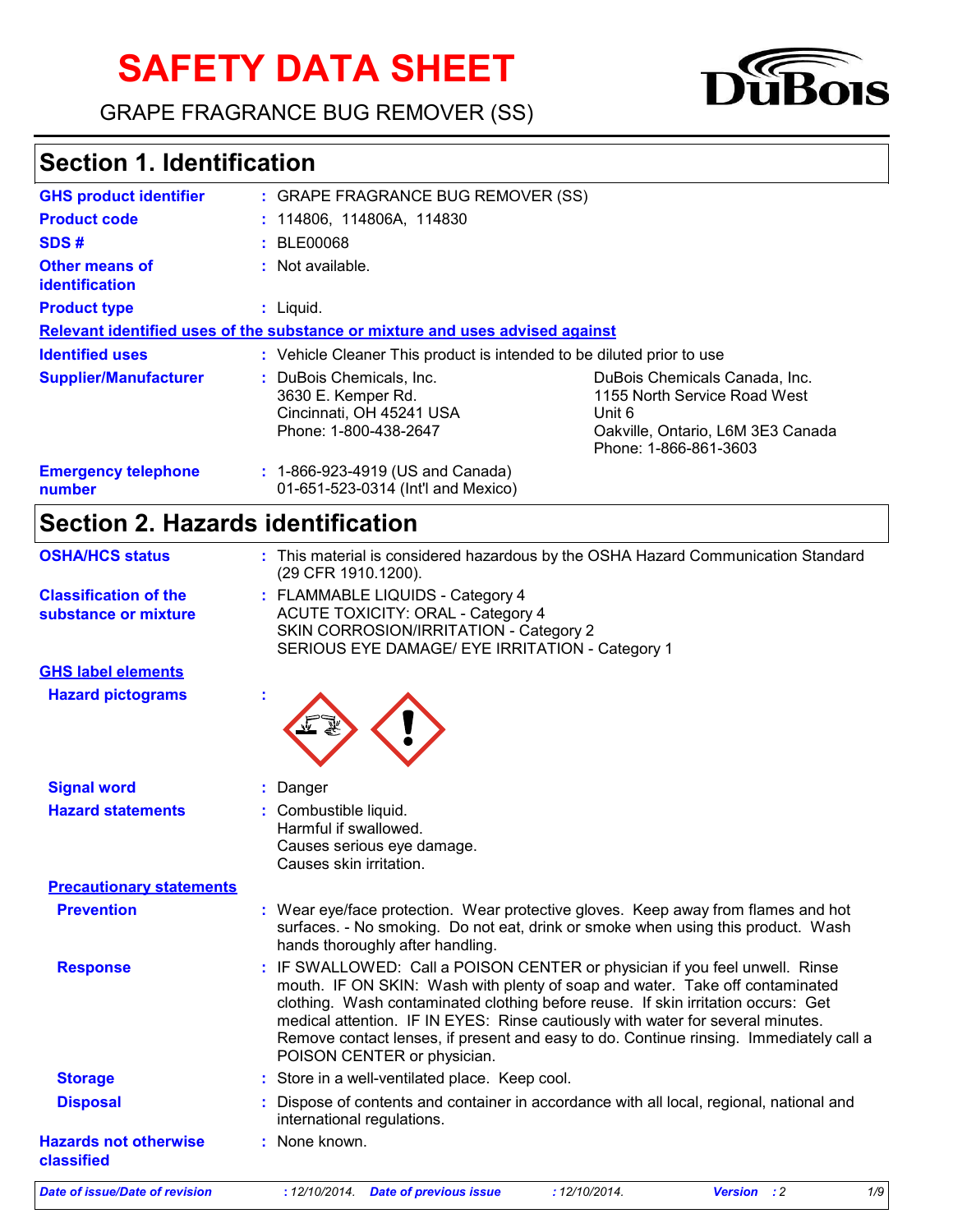# **SAFETY DATA SHEET**

GRAPE FRAGRANCE BUG REMOVER (SS)



### **Section 1. Identification**

| <b>GHS product identifier</b>           | : GRAPE FRAGRANCE BUG REMOVER (SS)                                                                  |                                                                                                                                       |  |
|-----------------------------------------|-----------------------------------------------------------------------------------------------------|---------------------------------------------------------------------------------------------------------------------------------------|--|
| <b>Product code</b>                     | : 114806, 114806A, 114830                                                                           |                                                                                                                                       |  |
| SDS#                                    | : BLE00068                                                                                          |                                                                                                                                       |  |
| Other means of<br><i>identification</i> | $:$ Not available.                                                                                  |                                                                                                                                       |  |
| <b>Product type</b>                     | $:$ Liquid.                                                                                         |                                                                                                                                       |  |
|                                         | Relevant identified uses of the substance or mixture and uses advised against                       |                                                                                                                                       |  |
| <b>Identified uses</b>                  | : Vehicle Cleaner This product is intended to be diluted prior to use                               |                                                                                                                                       |  |
| <b>Supplier/Manufacturer</b>            | : DuBois Chemicals, Inc.<br>3630 E. Kemper Rd.<br>Cincinnati, OH 45241 USA<br>Phone: 1-800-438-2647 | DuBois Chemicals Canada, Inc.<br>1155 North Service Road West<br>Unit 6<br>Oakville, Ontario, L6M 3E3 Canada<br>Phone: 1-866-861-3603 |  |
| <b>Emergency telephone</b><br>number    | : 1-866-923-4919 (US and Canada)<br>01-651-523-0314 (Int'l and Mexico)                              |                                                                                                                                       |  |

### **Section 2. Hazards identification**

| <b>OSHA/HCS status</b>                               | : This material is considered hazardous by the OSHA Hazard Communication Standard<br>(29 CFR 1910.1200).                                                                                                                                                                                                                                                                                                                                                     |  |
|------------------------------------------------------|--------------------------------------------------------------------------------------------------------------------------------------------------------------------------------------------------------------------------------------------------------------------------------------------------------------------------------------------------------------------------------------------------------------------------------------------------------------|--|
| <b>Classification of the</b><br>substance or mixture | : FLAMMABLE LIQUIDS - Category 4<br><b>ACUTE TOXICITY: ORAL - Category 4</b><br>SKIN CORROSION/IRRITATION - Category 2<br>SERIOUS EYE DAMAGE/ EYE IRRITATION - Category 1                                                                                                                                                                                                                                                                                    |  |
| <b>GHS label elements</b>                            |                                                                                                                                                                                                                                                                                                                                                                                                                                                              |  |
| <b>Hazard pictograms</b>                             |                                                                                                                                                                                                                                                                                                                                                                                                                                                              |  |
| <b>Signal word</b>                                   | Danger<br>÷.                                                                                                                                                                                                                                                                                                                                                                                                                                                 |  |
| <b>Hazard statements</b>                             | Combustible liquid.<br>Harmful if swallowed.<br>Causes serious eye damage.<br>Causes skin irritation.                                                                                                                                                                                                                                                                                                                                                        |  |
| <b>Precautionary statements</b>                      |                                                                                                                                                                                                                                                                                                                                                                                                                                                              |  |
| <b>Prevention</b>                                    | : Wear eye/face protection. Wear protective gloves. Keep away from flames and hot<br>surfaces. - No smoking. Do not eat, drink or smoke when using this product. Wash<br>hands thoroughly after handling.                                                                                                                                                                                                                                                    |  |
| <b>Response</b>                                      | : IF SWALLOWED: Call a POISON CENTER or physician if you feel unwell. Rinse<br>mouth. IF ON SKIN: Wash with plenty of soap and water. Take off contaminated<br>clothing. Wash contaminated clothing before reuse. If skin irritation occurs: Get<br>medical attention. IF IN EYES: Rinse cautiously with water for several minutes.<br>Remove contact lenses, if present and easy to do. Continue rinsing. Immediately call a<br>POISON CENTER or physician. |  |
| <b>Storage</b>                                       | : Store in a well-ventilated place. Keep cool.                                                                                                                                                                                                                                                                                                                                                                                                               |  |
| <b>Disposal</b>                                      | Dispose of contents and container in accordance with all local, regional, national and<br>international regulations.                                                                                                                                                                                                                                                                                                                                         |  |
| <b>Hazards not otherwise</b><br>classified           | : None known.                                                                                                                                                                                                                                                                                                                                                                                                                                                |  |

*Date of issue/Date of revision* **:** *12/10/2014. Date of previous issue : 12/10/2014. Version : 2 1/9*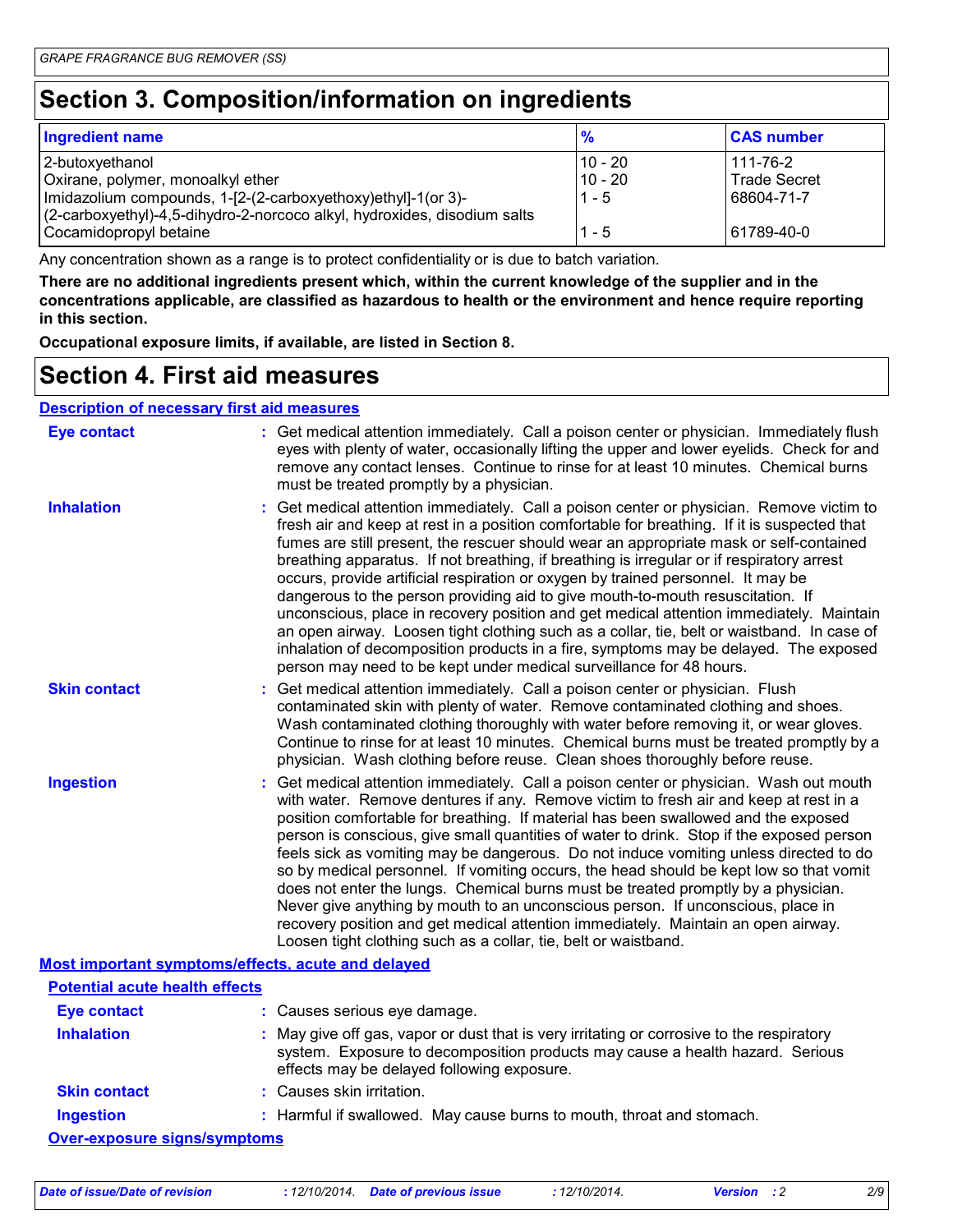### **Section 3. Composition/information on ingredients**

| <b>Ingredient name</b>                                                   | $\frac{9}{6}$ | <b>CAS number</b>   |
|--------------------------------------------------------------------------|---------------|---------------------|
| 2-butoxyethanol                                                          | 10 - 20       | 111-76-2            |
| Oxirane, polymer, monoalkyl ether                                        | 10 - 20       | <b>Trade Secret</b> |
| Imidazolium compounds, 1-[2-(2-carboxyethoxy)ethyl]-1(or 3)-             | $1 - 5$       | 68604-71-7          |
| (2-carboxyethyl)-4,5-dihydro-2-norcoco alkyl, hydroxides, disodium salts |               |                     |
| Cocamidopropyl betaine                                                   | $1 - 5$       | 61789-40-0          |

Any concentration shown as a range is to protect confidentiality or is due to batch variation.

**There are no additional ingredients present which, within the current knowledge of the supplier and in the concentrations applicable, are classified as hazardous to health or the environment and hence require reporting in this section.**

**Occupational exposure limits, if available, are listed in Section 8.**

#### **Section 4. First aid measures**

#### **Description of necessary first aid measures**

| <b>Eye contact</b>                                 | : Get medical attention immediately. Call a poison center or physician. Immediately flush<br>eyes with plenty of water, occasionally lifting the upper and lower eyelids. Check for and<br>remove any contact lenses. Continue to rinse for at least 10 minutes. Chemical burns<br>must be treated promptly by a physician.                                                                                                                                                                                                                                                                                                                                                                                                                                                                                                                                                                                  |
|----------------------------------------------------|--------------------------------------------------------------------------------------------------------------------------------------------------------------------------------------------------------------------------------------------------------------------------------------------------------------------------------------------------------------------------------------------------------------------------------------------------------------------------------------------------------------------------------------------------------------------------------------------------------------------------------------------------------------------------------------------------------------------------------------------------------------------------------------------------------------------------------------------------------------------------------------------------------------|
| <b>Inhalation</b>                                  | : Get medical attention immediately. Call a poison center or physician. Remove victim to<br>fresh air and keep at rest in a position comfortable for breathing. If it is suspected that<br>fumes are still present, the rescuer should wear an appropriate mask or self-contained<br>breathing apparatus. If not breathing, if breathing is irregular or if respiratory arrest<br>occurs, provide artificial respiration or oxygen by trained personnel. It may be<br>dangerous to the person providing aid to give mouth-to-mouth resuscitation. If<br>unconscious, place in recovery position and get medical attention immediately. Maintain<br>an open airway. Loosen tight clothing such as a collar, tie, belt or waistband. In case of<br>inhalation of decomposition products in a fire, symptoms may be delayed. The exposed<br>person may need to be kept under medical surveillance for 48 hours. |
| <b>Skin contact</b>                                | : Get medical attention immediately. Call a poison center or physician. Flush<br>contaminated skin with plenty of water. Remove contaminated clothing and shoes.<br>Wash contaminated clothing thoroughly with water before removing it, or wear gloves.<br>Continue to rinse for at least 10 minutes. Chemical burns must be treated promptly by a<br>physician. Wash clothing before reuse. Clean shoes thoroughly before reuse.                                                                                                                                                                                                                                                                                                                                                                                                                                                                           |
| <b>Ingestion</b>                                   | : Get medical attention immediately. Call a poison center or physician. Wash out mouth<br>with water. Remove dentures if any. Remove victim to fresh air and keep at rest in a<br>position comfortable for breathing. If material has been swallowed and the exposed<br>person is conscious, give small quantities of water to drink. Stop if the exposed person<br>feels sick as vomiting may be dangerous. Do not induce vomiting unless directed to do<br>so by medical personnel. If vomiting occurs, the head should be kept low so that vomit<br>does not enter the lungs. Chemical burns must be treated promptly by a physician.<br>Never give anything by mouth to an unconscious person. If unconscious, place in<br>recovery position and get medical attention immediately. Maintain an open airway.<br>Loosen tight clothing such as a collar, tie, belt or waistband.                          |
| Most important symptoms/effects, acute and delayed |                                                                                                                                                                                                                                                                                                                                                                                                                                                                                                                                                                                                                                                                                                                                                                                                                                                                                                              |
| <b>Potential acute health effects</b>              |                                                                                                                                                                                                                                                                                                                                                                                                                                                                                                                                                                                                                                                                                                                                                                                                                                                                                                              |
| Eye contact                                        | : Causes serious eye damage.                                                                                                                                                                                                                                                                                                                                                                                                                                                                                                                                                                                                                                                                                                                                                                                                                                                                                 |

| <b>Inhalation</b>                   | : May give off gas, vapor or dust that is very irritating or corrosive to the respiratory<br>system. Exposure to decomposition products may cause a health hazard. Serious<br>effects may be delayed following exposure. |
|-------------------------------------|--------------------------------------------------------------------------------------------------------------------------------------------------------------------------------------------------------------------------|
| <b>Skin contact</b>                 | : Causes skin irritation.                                                                                                                                                                                                |
| <b>Ingestion</b>                    | : Harmful if swallowed. May cause burns to mouth, throat and stomach.                                                                                                                                                    |
| <b>Over-exposure signs/symptoms</b> |                                                                                                                                                                                                                          |

*Date of issue/Date of revision* **:** *12/10/2014. Date of previous issue : 12/10/2014. Version : 2 2/9*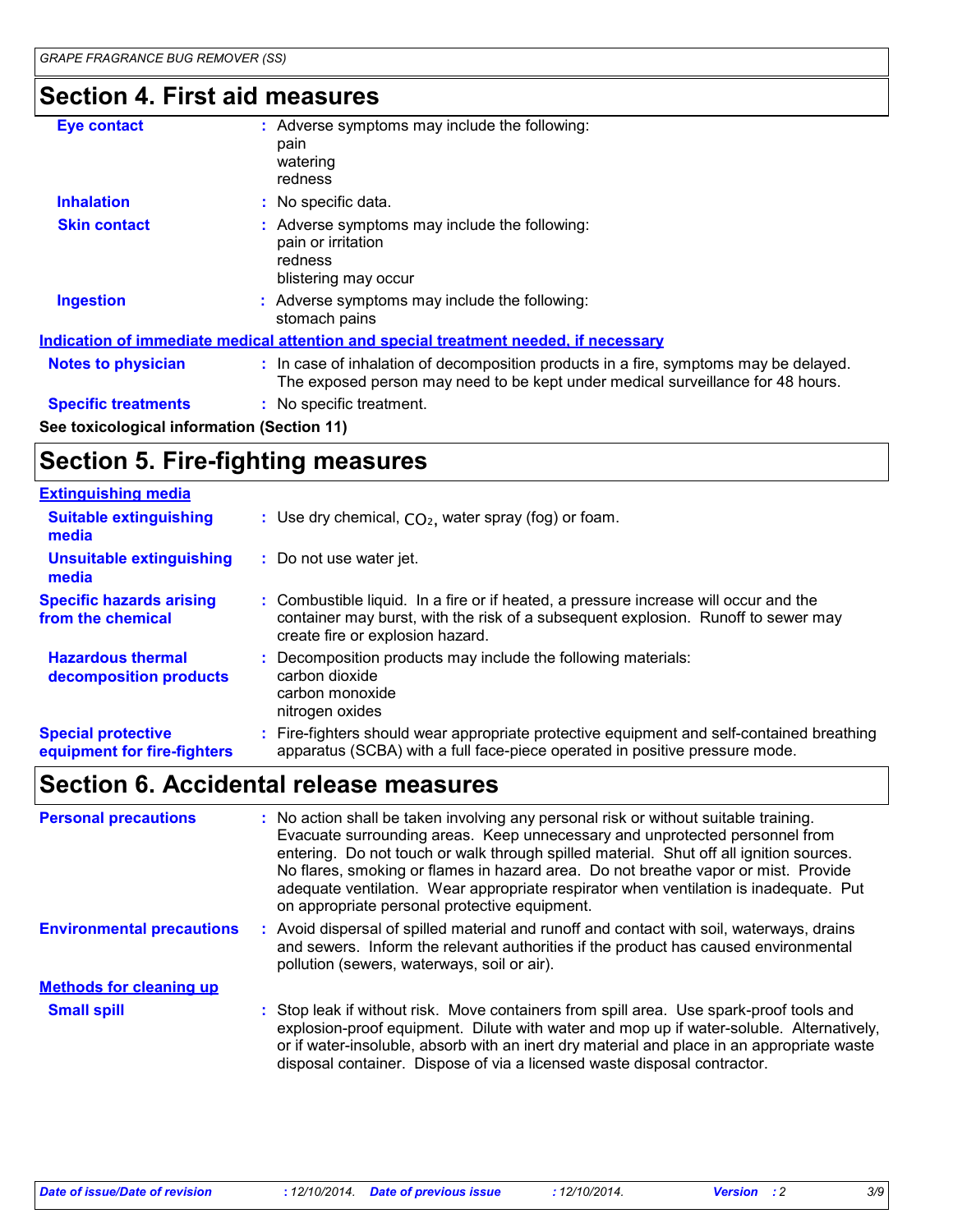### **Section 4. First aid measures**

| <b>Eye contact</b>                         | : Adverse symptoms may include the following:<br>pain<br>watering<br>redness                                                                                             |
|--------------------------------------------|--------------------------------------------------------------------------------------------------------------------------------------------------------------------------|
| <b>Inhalation</b>                          | : No specific data.                                                                                                                                                      |
| <b>Skin contact</b>                        | : Adverse symptoms may include the following:<br>pain or irritation<br>redness<br>blistering may occur                                                                   |
| <b>Ingestion</b>                           | : Adverse symptoms may include the following:<br>stomach pains                                                                                                           |
|                                            | Indication of immediate medical attention and special treatment needed, if necessary                                                                                     |
| <b>Notes to physician</b>                  | : In case of inhalation of decomposition products in a fire, symptoms may be delayed.<br>The exposed person may need to be kept under medical surveillance for 48 hours. |
| <b>Specific treatments</b>                 | : No specific treatment.                                                                                                                                                 |
| See toxicological information (Section 11) |                                                                                                                                                                          |

### **Section 5. Fire-fighting measures**

| <b>Extinguishing media</b>                               |                                                                                                                                                                                                               |
|----------------------------------------------------------|---------------------------------------------------------------------------------------------------------------------------------------------------------------------------------------------------------------|
| <b>Suitable extinguishing</b><br>media                   | : Use dry chemical, $CO2$ , water spray (fog) or foam.                                                                                                                                                        |
| Unsuitable extinguishing<br>media                        | : Do not use water jet.                                                                                                                                                                                       |
| <b>Specific hazards arising</b><br>from the chemical     | : Combustible liquid. In a fire or if heated, a pressure increase will occur and the<br>container may burst, with the risk of a subsequent explosion. Runoff to sewer may<br>create fire or explosion hazard. |
| <b>Hazardous thermal</b><br>decomposition products       | : Decomposition products may include the following materials:<br>carbon dioxide<br>carbon monoxide<br>nitrogen oxides                                                                                         |
| <b>Special protective</b><br>equipment for fire-fighters | : Fire-fighters should wear appropriate protective equipment and self-contained breathing<br>apparatus (SCBA) with a full face-piece operated in positive pressure mode.                                      |

### **Section 6. Accidental release measures**

| <b>Personal precautions</b>      | : No action shall be taken involving any personal risk or without suitable training.<br>Evacuate surrounding areas. Keep unnecessary and unprotected personnel from<br>entering. Do not touch or walk through spilled material. Shut off all ignition sources.<br>No flares, smoking or flames in hazard area. Do not breathe vapor or mist. Provide<br>adequate ventilation. Wear appropriate respirator when ventilation is inadequate. Put<br>on appropriate personal protective equipment. |
|----------------------------------|------------------------------------------------------------------------------------------------------------------------------------------------------------------------------------------------------------------------------------------------------------------------------------------------------------------------------------------------------------------------------------------------------------------------------------------------------------------------------------------------|
| <b>Environmental precautions</b> | : Avoid dispersal of spilled material and runoff and contact with soil, waterways, drains<br>and sewers. Inform the relevant authorities if the product has caused environmental<br>pollution (sewers, waterways, soil or air).                                                                                                                                                                                                                                                                |
| <b>Methods for cleaning up</b>   |                                                                                                                                                                                                                                                                                                                                                                                                                                                                                                |
| <b>Small spill</b>               | : Stop leak if without risk. Move containers from spill area. Use spark-proof tools and<br>explosion-proof equipment. Dilute with water and mop up if water-soluble. Alternatively,<br>or if water-insoluble, absorb with an inert dry material and place in an appropriate waste<br>disposal container. Dispose of via a licensed waste disposal contractor.                                                                                                                                  |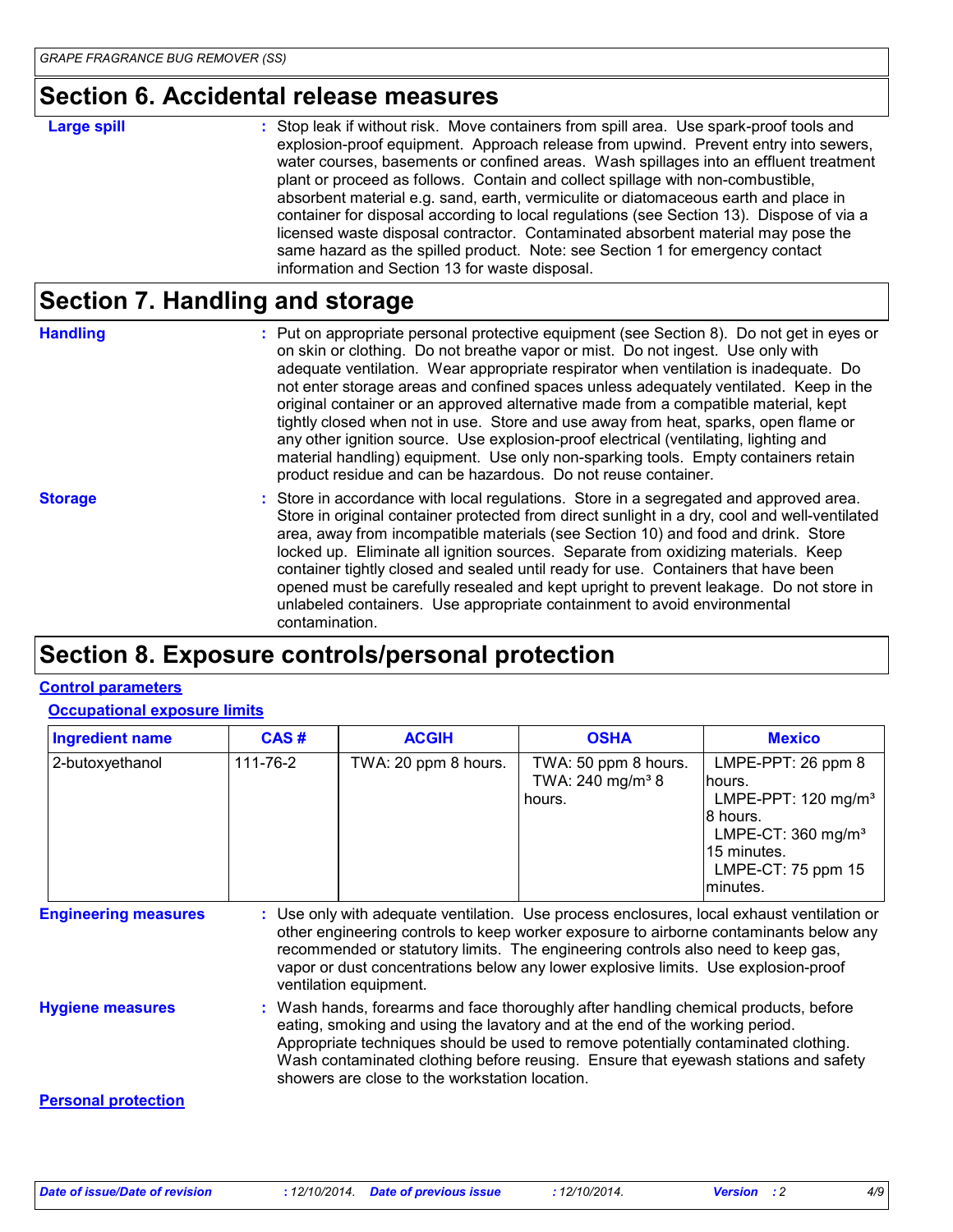#### **Section 6. Accidental release measures**

#### **Large spill :**

Stop leak if without risk. Move containers from spill area. Use spark-proof tools and explosion-proof equipment. Approach release from upwind. Prevent entry into sewers, water courses, basements or confined areas. Wash spillages into an effluent treatment plant or proceed as follows. Contain and collect spillage with non-combustible, absorbent material e.g. sand, earth, vermiculite or diatomaceous earth and place in container for disposal according to local regulations (see Section 13). Dispose of via a licensed waste disposal contractor. Contaminated absorbent material may pose the same hazard as the spilled product. Note: see Section 1 for emergency contact information and Section 13 for waste disposal.

#### **Section 7. Handling and storage**

**Handling** entries a metal on appropriate personal protective equipment (see Section 8). Do not get in eyes or and on skin or clothing. Do not breathe vapor or mist. Do not ingest. Use only with adequate ventilation. Wear appropriate respirator when ventilation is inadequate. Do not enter storage areas and confined spaces unless adequately ventilated. Keep in the original container or an approved alternative made from a compatible material, kept tightly closed when not in use. Store and use away from heat, sparks, open flame or any other ignition source. Use explosion-proof electrical (ventilating, lighting and material handling) equipment. Use only non-sparking tools. Empty containers retain product residue and can be hazardous. Do not reuse container.

**Storage** Store in accordance with local regulations. Store in a segregated and approved area. Store in original container protected from direct sunlight in a dry, cool and well-ventilated area, away from incompatible materials (see Section 10) and food and drink. Store locked up. Eliminate all ignition sources. Separate from oxidizing materials. Keep container tightly closed and sealed until ready for use. Containers that have been opened must be carefully resealed and kept upright to prevent leakage. Do not store in unlabeled containers. Use appropriate containment to avoid environmental contamination.

#### **Section 8. Exposure controls/personal protection**

#### **Control parameters**

#### **Occupational exposure limits**

| <b>Ingredient name</b>      | CAS#                                                                                                                                                                                                                                                                                                                                                                                              | <b>ACGIH</b>         | <b>OSHA</b>                                                    | <b>Mexico</b>                                                                                                                                                      |  |
|-----------------------------|---------------------------------------------------------------------------------------------------------------------------------------------------------------------------------------------------------------------------------------------------------------------------------------------------------------------------------------------------------------------------------------------------|----------------------|----------------------------------------------------------------|--------------------------------------------------------------------------------------------------------------------------------------------------------------------|--|
| 2-butoxyethanol             | 111-76-2                                                                                                                                                                                                                                                                                                                                                                                          | TWA: 20 ppm 8 hours. | TWA: 50 ppm 8 hours.<br>TWA: 240 mg/m <sup>3</sup> 8<br>hours. | LMPE-PPT: 26 ppm 8<br>hours.<br>LMPE-PPT: $120$ mg/m <sup>3</sup><br>8 hours.<br>LMPE-CT: $360$ mg/m <sup>3</sup><br>15 minutes.<br>LMPE-CT: 75 ppm 15<br>minutes. |  |
| <b>Engineering measures</b> | : Use only with adequate ventilation. Use process enclosures, local exhaust ventilation or<br>other engineering controls to keep worker exposure to airborne contaminants below any<br>recommended or statutory limits. The engineering controls also need to keep gas,<br>vapor or dust concentrations below any lower explosive limits. Use explosion-proof<br>ventilation equipment.           |                      |                                                                |                                                                                                                                                                    |  |
| <b>Hygiene measures</b>     | : Wash hands, forearms and face thoroughly after handling chemical products, before<br>eating, smoking and using the lavatory and at the end of the working period.<br>Appropriate techniques should be used to remove potentially contaminated clothing.<br>Wash contaminated clothing before reusing. Ensure that eyewash stations and safety<br>showers are close to the workstation location. |                      |                                                                |                                                                                                                                                                    |  |
| <b>Personal protection</b>  |                                                                                                                                                                                                                                                                                                                                                                                                   |                      |                                                                |                                                                                                                                                                    |  |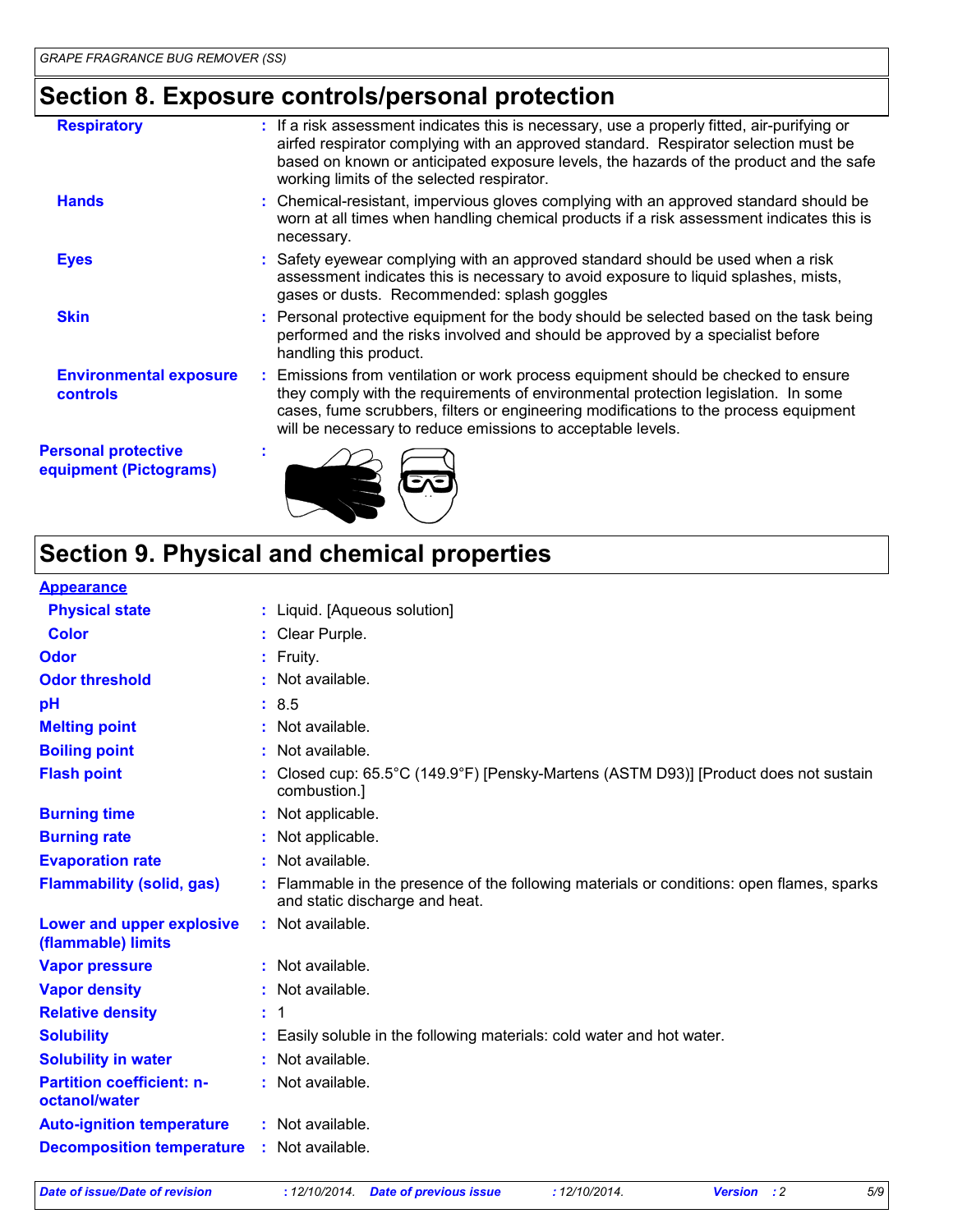## **Section 8. Exposure controls/personal protection**

| <b>Respiratory</b>                                   | : If a risk assessment indicates this is necessary, use a properly fitted, air-purifying or<br>airfed respirator complying with an approved standard. Respirator selection must be<br>based on known or anticipated exposure levels, the hazards of the product and the safe<br>working limits of the selected respirator.      |
|------------------------------------------------------|---------------------------------------------------------------------------------------------------------------------------------------------------------------------------------------------------------------------------------------------------------------------------------------------------------------------------------|
| <b>Hands</b>                                         | : Chemical-resistant, impervious gloves complying with an approved standard should be<br>worn at all times when handling chemical products if a risk assessment indicates this is<br>necessary.                                                                                                                                 |
| <b>Eyes</b>                                          | : Safety eyewear complying with an approved standard should be used when a risk<br>assessment indicates this is necessary to avoid exposure to liquid splashes, mists,<br>gases or dusts. Recommended: splash goggles                                                                                                           |
| <b>Skin</b>                                          | : Personal protective equipment for the body should be selected based on the task being<br>performed and the risks involved and should be approved by a specialist before<br>handling this product.                                                                                                                             |
| <b>Environmental exposure</b><br><b>controls</b>     | : Emissions from ventilation or work process equipment should be checked to ensure<br>they comply with the requirements of environmental protection legislation. In some<br>cases, fume scrubbers, filters or engineering modifications to the process equipment<br>will be necessary to reduce emissions to acceptable levels. |
| <b>Personal protective</b><br>equipment (Pictograms) |                                                                                                                                                                                                                                                                                                                                 |

## **Section 9. Physical and chemical properties**

#### **Appearance**

| <u>Appearance</u>                                 |                                                                                                                             |
|---------------------------------------------------|-----------------------------------------------------------------------------------------------------------------------------|
| <b>Physical state</b>                             | : Liquid. [Aqueous solution]                                                                                                |
| <b>Color</b>                                      | Clear Purple.                                                                                                               |
| <b>Odor</b>                                       | $:$ Fruity.                                                                                                                 |
| <b>Odor threshold</b>                             | Not available.                                                                                                              |
| pH                                                | : 8.5                                                                                                                       |
| <b>Melting point</b>                              | Not available.                                                                                                              |
| <b>Boiling point</b>                              | Not available.                                                                                                              |
| <b>Flash point</b>                                | Closed cup: 65.5°C (149.9°F) [Pensky-Martens (ASTM D93)] [Product does not sustain<br>combustion.]                          |
| <b>Burning time</b>                               | Not applicable.                                                                                                             |
| <b>Burning rate</b>                               | Not applicable.                                                                                                             |
| <b>Evaporation rate</b>                           | : Not available.                                                                                                            |
| <b>Flammability (solid, gas)</b>                  | : Flammable in the presence of the following materials or conditions: open flames, sparks<br>and static discharge and heat. |
| Lower and upper explosive<br>(flammable) limits   | : Not available.                                                                                                            |
| <b>Vapor pressure</b>                             | : Not available.                                                                                                            |
| <b>Vapor density</b>                              | : Not available.                                                                                                            |
| <b>Relative density</b>                           | : 1                                                                                                                         |
| <b>Solubility</b>                                 | Easily soluble in the following materials: cold water and hot water.                                                        |
| <b>Solubility in water</b>                        | Not available.                                                                                                              |
| <b>Partition coefficient: n-</b><br>octanol/water | : Not available.                                                                                                            |
| <b>Auto-ignition temperature</b>                  | : Not available.                                                                                                            |
| <b>Decomposition temperature</b>                  | : Not available.                                                                                                            |

*Date of issue/Date of revision* **:** *12/10/2014. Date of previous issue : 12/10/2014. Version : 2 5/9*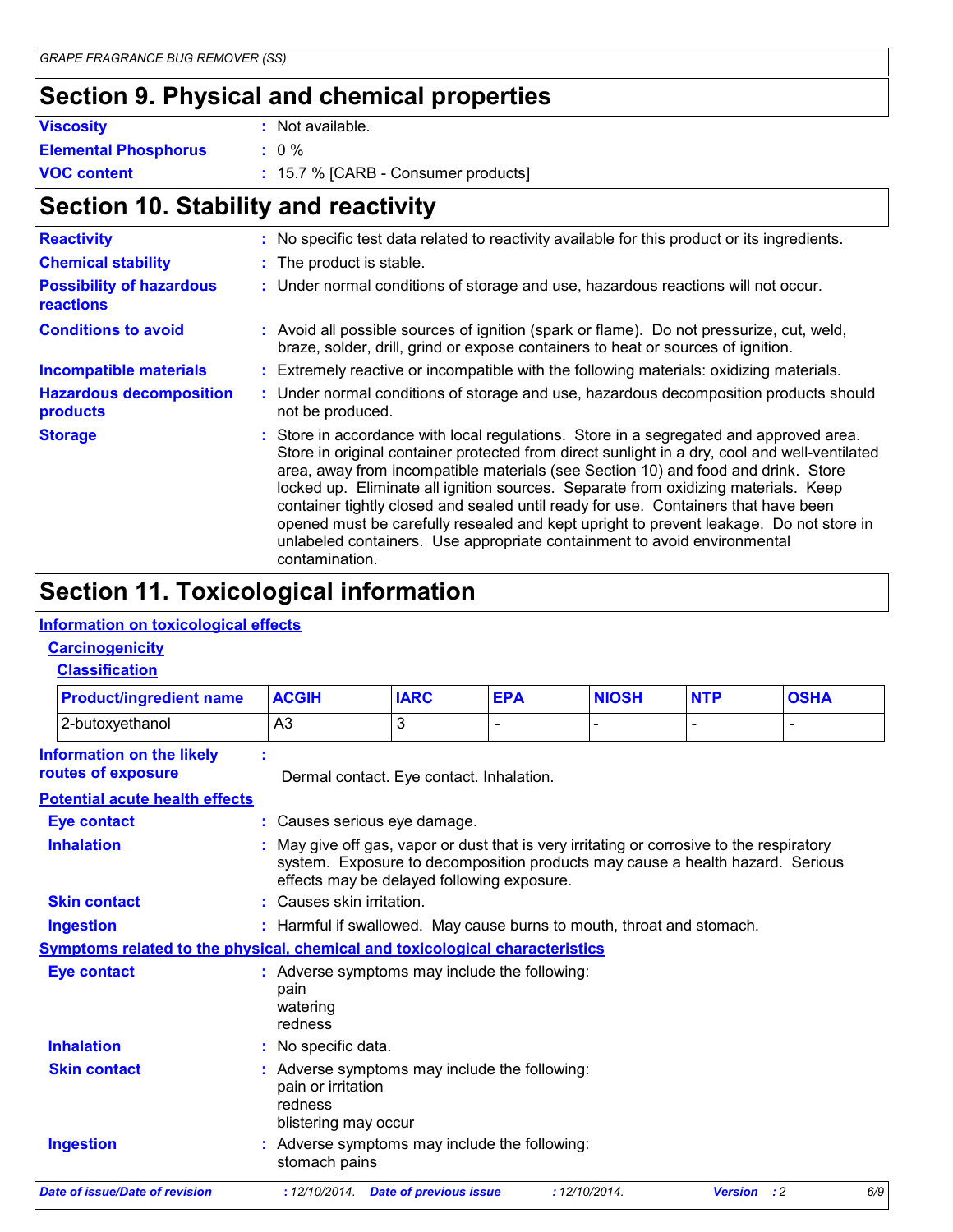### **Section 9. Physical and chemical properties**

| <b>Viscosity</b>            | : Not available.                      |
|-----------------------------|---------------------------------------|
| <b>Elemental Phosphorus</b> | $\pm 0\%$                             |
| <b>VOC content</b>          | $: 15.7 %$ [CARB - Consumer products] |

### **Section 10. Stability and reactivity**

| <b>Reactivity</b>                                   | : No specific test data related to reactivity available for this product or its ingredients.                                                                                                                                                                                                                                                                                                                                                                                                                                                                                                                                                     |  |
|-----------------------------------------------------|--------------------------------------------------------------------------------------------------------------------------------------------------------------------------------------------------------------------------------------------------------------------------------------------------------------------------------------------------------------------------------------------------------------------------------------------------------------------------------------------------------------------------------------------------------------------------------------------------------------------------------------------------|--|
| <b>Chemical stability</b>                           | : The product is stable.                                                                                                                                                                                                                                                                                                                                                                                                                                                                                                                                                                                                                         |  |
| <b>Possibility of hazardous</b><br><b>reactions</b> | : Under normal conditions of storage and use, hazardous reactions will not occur.                                                                                                                                                                                                                                                                                                                                                                                                                                                                                                                                                                |  |
| <b>Conditions to avoid</b>                          | : Avoid all possible sources of ignition (spark or flame). Do not pressurize, cut, weld,<br>braze, solder, drill, grind or expose containers to heat or sources of ignition.                                                                                                                                                                                                                                                                                                                                                                                                                                                                     |  |
| <b>Incompatible materials</b>                       | : Extremely reactive or incompatible with the following materials: oxidizing materials.                                                                                                                                                                                                                                                                                                                                                                                                                                                                                                                                                          |  |
| <b>Hazardous decomposition</b><br>products          | : Under normal conditions of storage and use, hazardous decomposition products should<br>not be produced.                                                                                                                                                                                                                                                                                                                                                                                                                                                                                                                                        |  |
| <b>Storage</b>                                      | : Store in accordance with local regulations. Store in a segregated and approved area.<br>Store in original container protected from direct sunlight in a dry, cool and well-ventilated<br>area, away from incompatible materials (see Section 10) and food and drink. Store<br>locked up. Eliminate all ignition sources. Separate from oxidizing materials. Keep<br>container tightly closed and sealed until ready for use. Containers that have been<br>opened must be carefully resealed and kept upright to prevent leakage. Do not store in<br>unlabeled containers. Use appropriate containment to avoid environmental<br>contamination. |  |

### **Section 11. Toxicological information**

#### **Information on toxicological effects**

#### **Carcinogenicity**

#### **Classification**

| <b>Product/ingredient name</b>                                               | <b>ACGIH</b>                                          | <b>IARC</b>                                                                                                                                                                                                            | <b>EPA</b>     | <b>NIOSH</b>  | <b>NTP</b>         | <b>OSHA</b>    |
|------------------------------------------------------------------------------|-------------------------------------------------------|------------------------------------------------------------------------------------------------------------------------------------------------------------------------------------------------------------------------|----------------|---------------|--------------------|----------------|
| 2-butoxyethanol                                                              | A <sub>3</sub>                                        | 3                                                                                                                                                                                                                      | $\overline{a}$ |               |                    | $\blacksquare$ |
| <b>Information on the likely</b>                                             |                                                       |                                                                                                                                                                                                                        |                |               |                    |                |
| routes of exposure                                                           |                                                       | Dermal contact. Eye contact. Inhalation.                                                                                                                                                                               |                |               |                    |                |
| <b>Potential acute health effects</b>                                        |                                                       |                                                                                                                                                                                                                        |                |               |                    |                |
| <b>Eye contact</b>                                                           |                                                       | : Causes serious eye damage.                                                                                                                                                                                           |                |               |                    |                |
| <b>Inhalation</b>                                                            |                                                       | May give off gas, vapor or dust that is very irritating or corrosive to the respiratory<br>system. Exposure to decomposition products may cause a health hazard. Serious<br>effects may be delayed following exposure. |                |               |                    |                |
| <b>Skin contact</b>                                                          | : Causes skin irritation.                             |                                                                                                                                                                                                                        |                |               |                    |                |
| <b>Ingestion</b>                                                             |                                                       | : Harmful if swallowed. May cause burns to mouth, throat and stomach.                                                                                                                                                  |                |               |                    |                |
| Symptoms related to the physical, chemical and toxicological characteristics |                                                       |                                                                                                                                                                                                                        |                |               |                    |                |
| <b>Eye contact</b>                                                           | pain<br>watering<br>redness                           | : Adverse symptoms may include the following:                                                                                                                                                                          |                |               |                    |                |
| <b>Inhalation</b>                                                            | No specific data.                                     |                                                                                                                                                                                                                        |                |               |                    |                |
| <b>Skin contact</b>                                                          | pain or irritation<br>redness<br>blistering may occur | : Adverse symptoms may include the following:                                                                                                                                                                          |                |               |                    |                |
| <b>Ingestion</b>                                                             | stomach pains                                         | : Adverse symptoms may include the following:                                                                                                                                                                          |                |               |                    |                |
| <b>Date of issue/Date of revision</b>                                        |                                                       | : 12/10/2014. Date of previous issue                                                                                                                                                                                   |                | : 12/10/2014. | <b>Version</b> : 2 | 6/9            |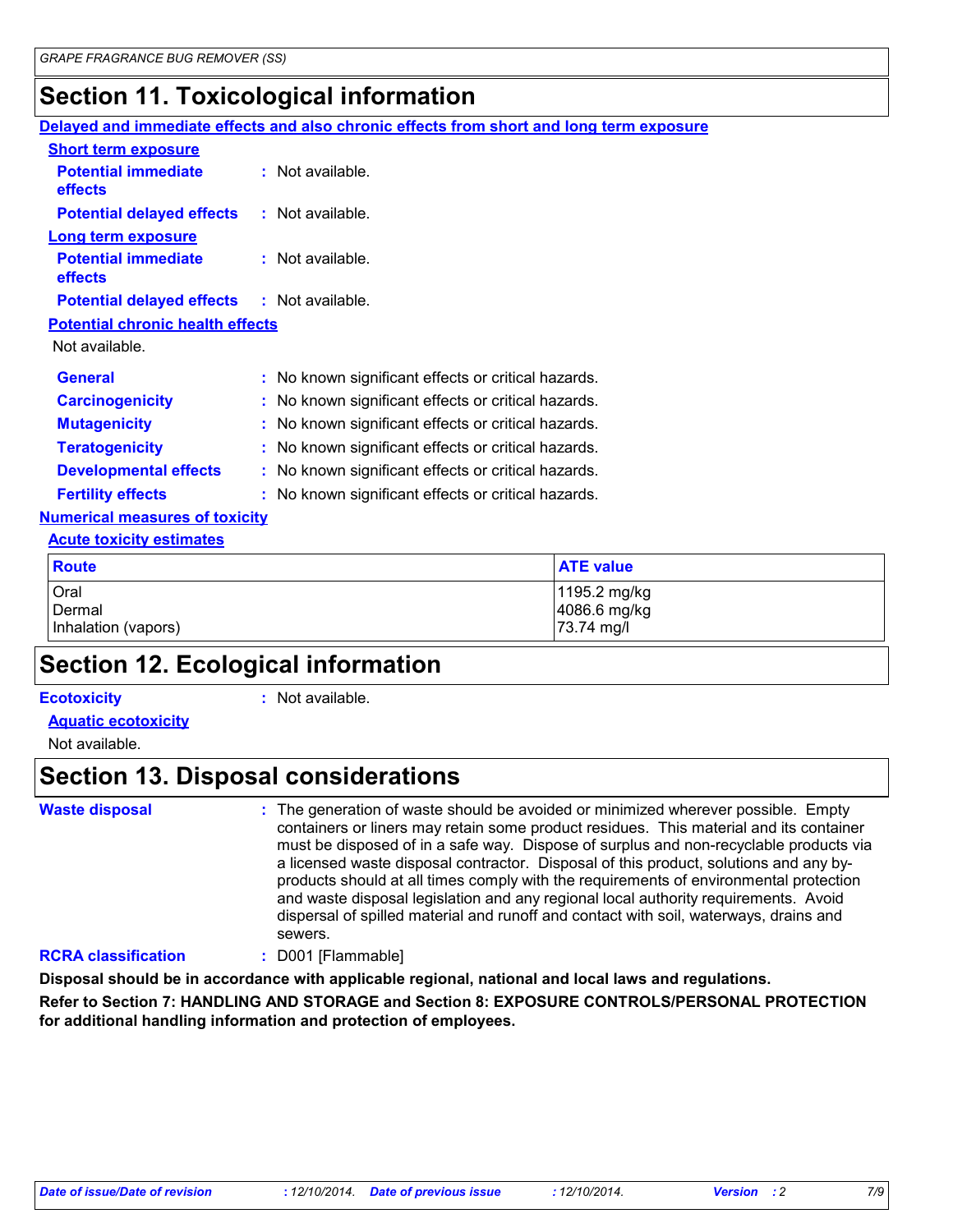### **Section 11. Toxicological information**

|                                         | Delayed and immediate effects and also chronic effects from short and long term exposure |  |  |
|-----------------------------------------|------------------------------------------------------------------------------------------|--|--|
| <b>Short term exposure</b>              |                                                                                          |  |  |
| <b>Potential immediate</b><br>effects   | $:$ Not available.                                                                       |  |  |
| <b>Potential delayed effects</b>        | : Not available.                                                                         |  |  |
| <b>Long term exposure</b>               |                                                                                          |  |  |
| <b>Potential immediate</b><br>effects   | : Not available.                                                                         |  |  |
| <b>Potential delayed effects</b>        | : Not available.                                                                         |  |  |
| <b>Potential chronic health effects</b> |                                                                                          |  |  |
| Not available.                          |                                                                                          |  |  |
| <b>General</b>                          | : No known significant effects or critical hazards.                                      |  |  |
| <b>Carcinogenicity</b>                  | : No known significant effects or critical hazards.                                      |  |  |
| <b>Mutagenicity</b>                     | : No known significant effects or critical hazards.                                      |  |  |
| <b>Teratogenicity</b>                   | : No known significant effects or critical hazards.                                      |  |  |
| <b>Developmental effects</b>            | : No known significant effects or critical hazards.                                      |  |  |
| <b>Fertility effects</b>                | : No known significant effects or critical hazards.                                      |  |  |
| <b>Numerical measures of toxicity</b>   |                                                                                          |  |  |
| <b>Acute toxicity estimates</b>         |                                                                                          |  |  |
| <b>Route</b>                            | <b>ATE value</b>                                                                         |  |  |
| Oral<br>Dermal                          | 1195.2 mg/kg<br>4086.6 mg/kg                                                             |  |  |
| Inhalation (vapors)                     | 73.74 mg/l                                                                               |  |  |

### **Section 12. Ecological information**

#### **Ecotoxicity :**

: Not available.

#### **Aquatic ecotoxicity**

Not available.

#### **Section 13. Disposal considerations**

**Waste disposal :**

The generation of waste should be avoided or minimized wherever possible. Empty containers or liners may retain some product residues. This material and its container must be disposed of in a safe way. Dispose of surplus and non-recyclable products via a licensed waste disposal contractor. Disposal of this product, solutions and any byproducts should at all times comply with the requirements of environmental protection and waste disposal legislation and any regional local authority requirements. Avoid dispersal of spilled material and runoff and contact with soil, waterways, drains and sewers.

#### **RCRA classification :** D001 [Flammable]

**Disposal should be in accordance with applicable regional, national and local laws and regulations.**

**Refer to Section 7: HANDLING AND STORAGE and Section 8: EXPOSURE CONTROLS/PERSONAL PROTECTION for additional handling information and protection of employees.**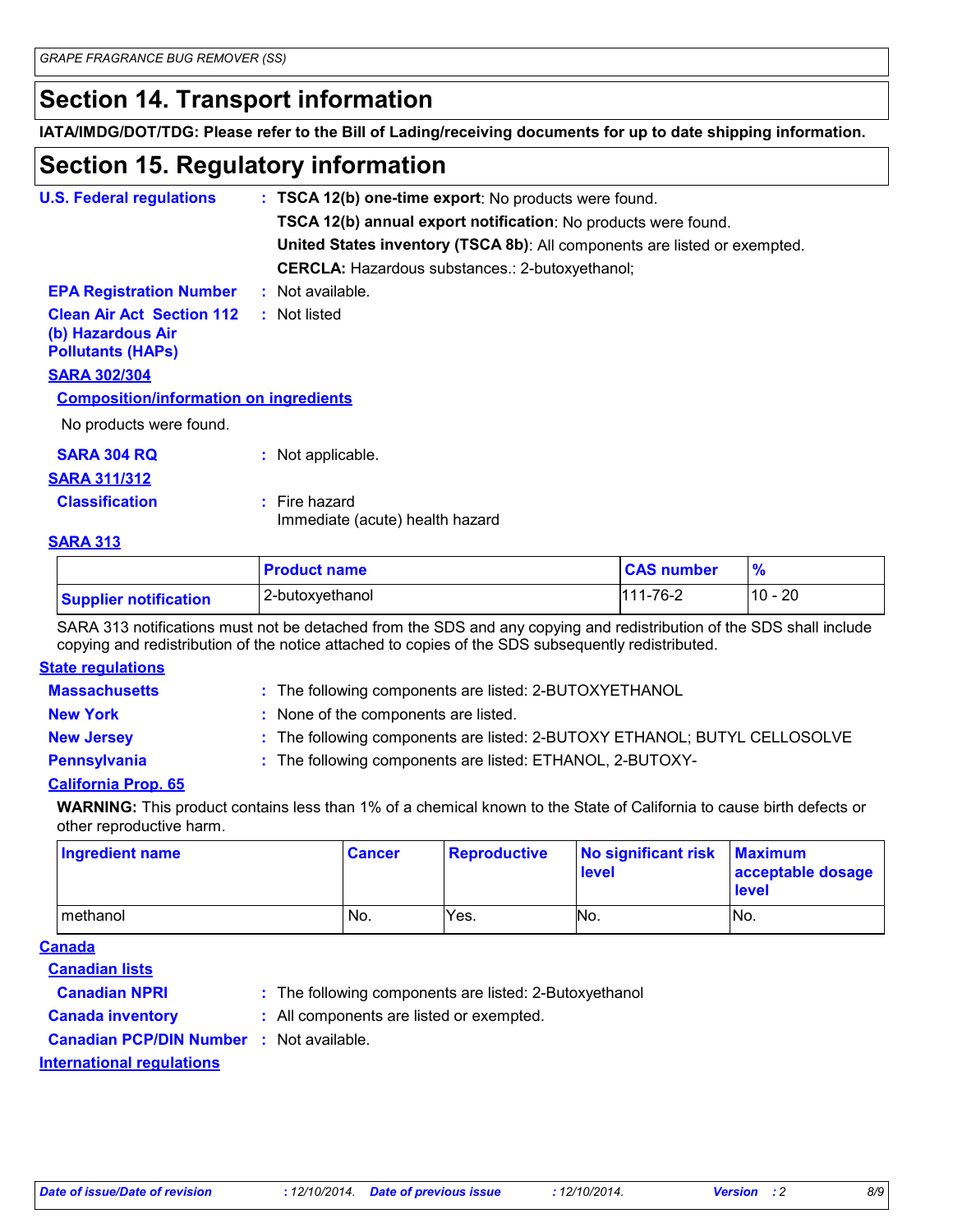### **Section 14. Transport information**

**IATA/IMDG/DOT/TDG: Please refer to the Bill of Lading/receiving documents for up to date shipping information.**

### **Section 15. Regulatory information**

| <b>U.S. Federal regulations</b>                                                   |  | : TSCA 12(b) one-time export: No products were found.                     |  |  |
|-----------------------------------------------------------------------------------|--|---------------------------------------------------------------------------|--|--|
|                                                                                   |  | TSCA 12(b) annual export notification: No products were found.            |  |  |
|                                                                                   |  | United States inventory (TSCA 8b): All components are listed or exempted. |  |  |
|                                                                                   |  | <b>CERCLA:</b> Hazardous substances.: 2-butoxyethanol;                    |  |  |
| <b>EPA Registration Number</b>                                                    |  | : Not available.                                                          |  |  |
| <b>Clean Air Act Section 112</b><br>(b) Hazardous Air<br><b>Pollutants (HAPs)</b> |  | : Not listed                                                              |  |  |
| <b>SARA 302/304</b>                                                               |  |                                                                           |  |  |
| <b>Composition/information on ingredients</b>                                     |  |                                                                           |  |  |
| No products were found.                                                           |  |                                                                           |  |  |
| <b>SARA 304 RQ</b>                                                                |  | : Not applicable.                                                         |  |  |
| <b>SARA 311/312</b>                                                               |  |                                                                           |  |  |
| <b>Classification</b>                                                             |  | $:$ Fire hazard                                                           |  |  |

Immediate (acute) health hazard

#### **SARA 313**

|                              | <b>Product name</b> | <b>CAS number</b> | $\frac{9}{6}$ |
|------------------------------|---------------------|-------------------|---------------|
| <b>Supplier notification</b> | 2-butoxyethanol     | 111-76-2          | $10 - 20$     |

SARA 313 notifications must not be detached from the SDS and any copying and redistribution of the SDS shall include copying and redistribution of the notice attached to copies of the SDS subsequently redistributed.

#### **State regulations**

| <b>Massachusetts</b> | : The following components are listed: 2-BUTOXYETHANOL                    |
|----------------------|---------------------------------------------------------------------------|
| <b>New York</b>      | : None of the components are listed.                                      |
| <b>New Jersey</b>    | : The following components are listed: 2-BUTOXY ETHANOL; BUTYL CELLOSOLVE |
| <b>Pennsylvania</b>  | : The following components are listed: ETHANOL, 2-BUTOXY-                 |

#### **California Prop. 65**

**WARNING:** This product contains less than 1% of a chemical known to the State of California to cause birth defects or other reproductive harm.

| Ingredient name | <b>Cancer</b> | <b>Reproductive</b> | No significant risk<br>level | <b>Maximum</b><br>acceptable dosage<br><b>level</b> |
|-----------------|---------------|---------------------|------------------------------|-----------------------------------------------------|
| methanol        | No.           | Yes.                | No.                          | No.                                                 |

#### **Canada**

**Canadian lists**

- 
- **Canadian NPRI :** The following components are listed: 2-Butoxyethanol
- **Canada inventory :** All components are listed or exempted.

**Canadian PCP/DIN Number :** Not available.

**International regulations**